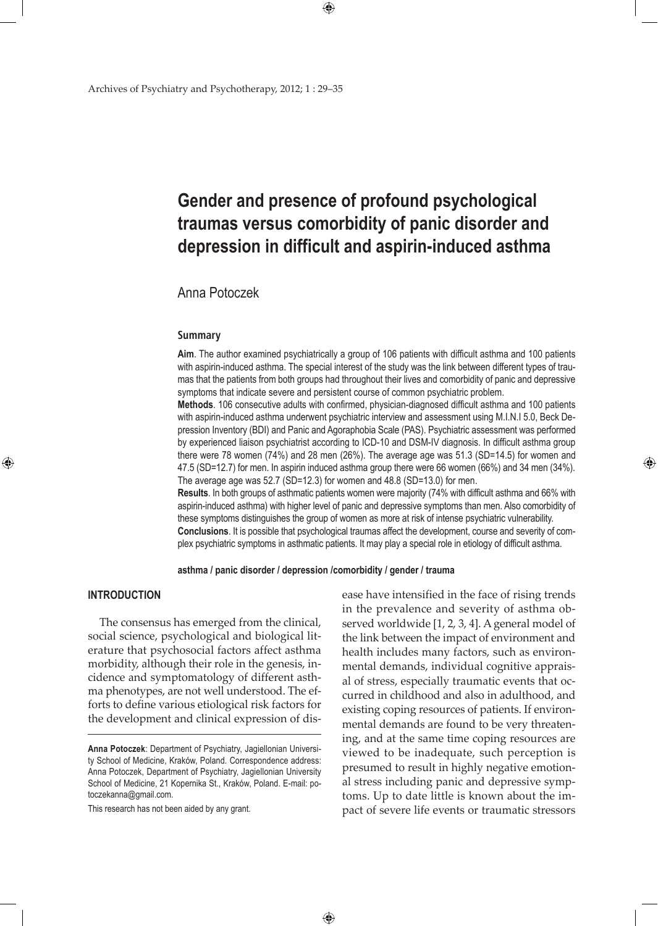# **Gender and presence of profound psychological traumas versus comorbidity of panic disorder and depression in difficult and aspirin-induced asthma**

 $\bigoplus$ 

# Anna Potoczek

#### **Summary**

**Aim**. The author examined psychiatrically a group of 106 patients with difficult asthma and 100 patients with aspirin-induced asthma. The special interest of the study was the link between different types of traumas that the patients from both groups had throughout their lives and comorbidity of panic and depressive symptoms that indicate severe and persistent course of common psychiatric problem.

**Methods**. 106 consecutive adults with confirmed, physician-diagnosed difficult asthma and 100 patients with aspirin-induced asthma underwent psychiatric interview and assessment using M.I.N.I 5.0, Beck Depression Inventory (BDI) and Panic and Agoraphobia Scale (PAS). Psychiatric assessment was performed by experienced liaison psychiatrist according to ICD-10 and DSM-IV diagnosis. In difficult asthma group there were 78 women (74%) and 28 men (26%). The average age was 51.3 (SD=14.5) for women and 47.5 (SD=12.7) for men. In aspirin induced asthma group there were 66 women (66%) and 34 men (34%). The average age was 52.7 (SD=12.3) for women and 48.8 (SD=13.0) for men.

**Results**. In both groups of asthmatic patients women were majority (74% with difficult asthma and 66% with aspirin-induced asthma) with higher level of panic and depressive symptoms than men. Also comorbidity of these symptoms distinguishes the group of women as more at risk of intense psychiatric vulnerability. **Conclusions**. It is possible that psychological traumas affect the development, course and severity of complex psychiatric symptoms in asthmatic patients. It may play a special role in etiology of difficult asthma.

**asthma / panic disorder / depression /comorbidity / gender / trauma**

## **INTRODUCTION**

⊕

 The consensus has emerged from the clinical, social science, psychological and biological literature that psychosocial factors affect asthma morbidity, although their role in the genesis, incidence and symptomatology of different asthma phenotypes, are not well understood. The efforts to define various etiological risk factors for the development and clinical expression of dis-

This research has not been aided by any grant.

ease have intensified in the face of rising trends in the prevalence and severity of asthma observed worldwide [1, 2, 3, 4]. A general model of the link between the impact of environment and health includes many factors, such as environmental demands, individual cognitive appraisal of stress, especially traumatic events that occurred in childhood and also in adulthood, and existing coping resources of patients. If environmental demands are found to be very threatening, and at the same time coping resources are viewed to be inadequate, such perception is presumed to result in highly negative emotional stress including panic and depressive symptoms. Up to date little is known about the impact of severe life events or traumatic stressors

⊕

**Anna Potoczek**: Department of Psychiatry, Jagiellonian University School of Medicine, Kraków, Poland. Correspondence address: Anna Potoczek, Department of Psychiatry, Jagiellonian University School of Medicine, 21 Kopernika St., Kraków, Poland. E-mail: potoczekanna@gmail.com.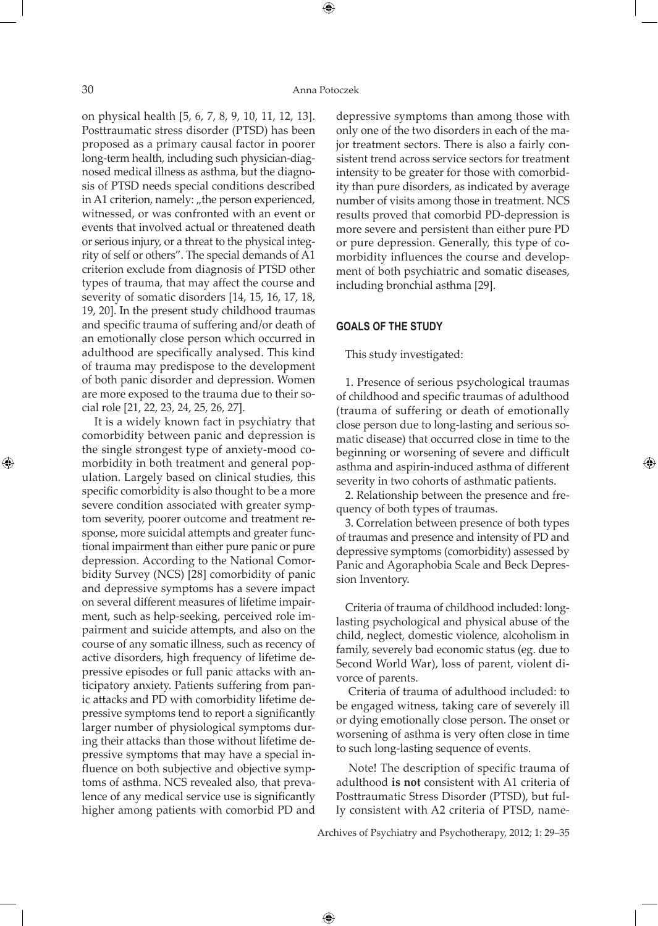⊕

⊕

on physical health [5, 6, 7, 8, 9, 10, 11, 12, 13]. Posttraumatic stress disorder (PTSD) has been proposed as a primary causal factor in poorer long-term health, including such physician-diagnosed medical illness as asthma, but the diagnosis of PTSD needs special conditions described in A1 criterion, namely: "the person experienced, witnessed, or was confronted with an event or events that involved actual or threatened death or serious injury, or a threat to the physical integrity of self or others". The special demands of A1 criterion exclude from diagnosis of PTSD other types of trauma, that may affect the course and severity of somatic disorders [14, 15, 16, 17, 18, 19, 20]. In the present study childhood traumas and specific trauma of suffering and/or death of an emotionally close person which occurred in adulthood are specifically analysed. This kind of trauma may predispose to the development of both panic disorder and depression. Women are more exposed to the trauma due to their social role [21, 22, 23, 24, 25, 26, 27].

 It is a widely known fact in psychiatry that comorbidity between panic and depression is the single strongest type of anxiety-mood comorbidity in both treatment and general population. Largely based on clinical studies, this specific comorbidity is also thought to be a more severe condition associated with greater symptom severity, poorer outcome and treatment response, more suicidal attempts and greater functional impairment than either pure panic or pure depression. According to the National Comorbidity Survey (NCS) [28] comorbidity of panic and depressive symptoms has a severe impact on several different measures of lifetime impairment, such as help-seeking, perceived role impairment and suicide attempts, and also on the course of any somatic illness, such as recency of active disorders, high frequency of lifetime depressive episodes or full panic attacks with anticipatory anxiety. Patients suffering from panic attacks and PD with comorbidity lifetime depressive symptoms tend to report a significantly larger number of physiological symptoms during their attacks than those without lifetime depressive symptoms that may have a special influence on both subjective and objective symptoms of asthma. NCS revealed also, that prevalence of any medical service use is significantly higher among patients with comorbid PD and

depressive symptoms than among those with only one of the two disorders in each of the major treatment sectors. There is also a fairly consistent trend across service sectors for treatment intensity to be greater for those with comorbidity than pure disorders, as indicated by average number of visits among those in treatment. NCS results proved that comorbid PD-depression is more severe and persistent than either pure PD or pure depression. Generally, this type of comorbidity influences the course and development of both psychiatric and somatic diseases, including bronchial asthma [29].

# **GOALS OF THE STUDY**

This study investigated:

1. Presence of serious psychological traumas of childhood and specific traumas of adulthood (trauma of suffering or death of emotionally close person due to long-lasting and serious somatic disease) that occurred close in time to the beginning or worsening of severe and difficult asthma and aspirin-induced asthma of different severity in two cohorts of asthmatic patients.

 $\bigoplus$ 

2. Relationship between the presence and frequency of both types of traumas.

3. Correlation between presence of both types of traumas and presence and intensity of PD and depressive symptoms (comorbidity) assessed by Panic and Agoraphobia Scale and Beck Depression Inventory.

Criteria of trauma of childhood included: longlasting psychological and physical abuse of the child, neglect, domestic violence, alcoholism in family, severely bad economic status (eg. due to Second World War), loss of parent, violent divorce of parents.

 Criteria of trauma of adulthood included: to be engaged witness, taking care of severely ill or dying emotionally close person. The onset or worsening of asthma is very often close in time to such long-lasting sequence of events.

 Note! The description of specific trauma of adulthood **is not** consistent with A1 criteria of Posttraumatic Stress Disorder (PTSD), but fully consistent with A2 criteria of PTSD, name-

Archives of Psychiatry and Psychotherapy, 2012; 1: 29–35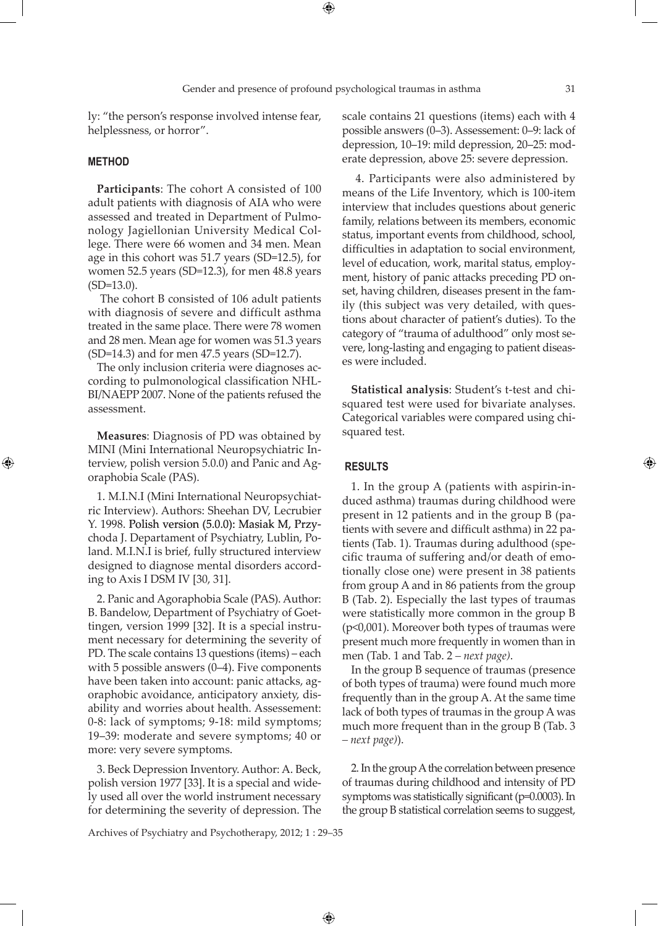⊕

⊕

ly: "the person's response involved intense fear, helplessness, or horror".

#### **METHOD**

⊕

**Participants**: The cohort A consisted of 100 adult patients with diagnosis of AIA who were assessed and treated in Department of Pulmonology Jagiellonian University Medical College. There were 66 women and 34 men. Mean age in this cohort was 51.7 years (SD=12.5), for women 52.5 years (SD=12.3), for men 48.8 years  $(SD=13.0)$ .

 The cohort B consisted of 106 adult patients with diagnosis of severe and difficult asthma treated in the same place. There were 78 women and 28 men. Mean age for women was 51.3 years (SD=14.3) and for men 47.5 years (SD=12.7).

The only inclusion criteria were diagnoses according to pulmonological classification NHL-BI/NAEPP 2007. None of the patients refused the assessment.

**Measures**: Diagnosis of PD was obtained by MINI (Mini International Neuropsychiatric Interview, polish version 5.0.0) and Panic and Agoraphobia Scale (PAS).

1. M.I.N.I (Mini International Neuropsychiatric Interview). Authors: Sheehan DV, Lecrubier Y. 1998. Polish version (5.0.0): Masiak M, Przychoda J. Departament of Psychiatry, Lublin, Poland. M.I.N.I is brief, fully structured interview designed to diagnose mental disorders according to Axis I DSM IV [30, 31].

2. Panic and Agoraphobia Scale (PAS). Author: B. Bandelow, Department of Psychiatry of Goettingen, version 1999 [32]. It is a special instrument necessary for determining the severity of PD. The scale contains 13 questions (items) – each with 5 possible answers (0–4). Five components have been taken into account: panic attacks, agoraphobic avoidance, anticipatory anxiety, disability and worries about health. Assessement: 0-8: lack of symptoms; 9-18: mild symptoms; 19–39: moderate and severe symptoms; 40 or more: very severe symptoms.

3. Beck Depression Inventory. Author: A. Beck, polish version 1977 [33]. It is a special and widely used all over the world instrument necessary for determining the severity of depression. The scale contains 21 questions (items) each with 4 possible answers (0–3). Assessement: 0–9: lack of depression, 10–19: mild depression, 20–25: moderate depression, above 25: severe depression.

 4. Participants were also administered by means of the Life Inventory, which is 100-item interview that includes questions about generic family, relations between its members, economic status, important events from childhood, school, difficulties in adaptation to social environment, level of education, work, marital status, employment, history of panic attacks preceding PD onset, having children, diseases present in the family (this subject was very detailed, with questions about character of patient's duties). To the category of "trauma of adulthood" only most severe, long-lasting and engaging to patient diseases were included.

**Statistical analysis**: Student's t-test and chisquared test were used for bivariate analyses. Categorical variables were compared using chisquared test.

#### **RESULTS**

 $\bigoplus$ 

1. In the group A (patients with aspirin-induced asthma) traumas during childhood were present in 12 patients and in the group B (patients with severe and difficult asthma) in 22 patients (Tab. 1). Traumas during adulthood (specific trauma of suffering and/or death of emotionally close one) were present in 38 patients from group A and in 86 patients from the group B (Tab. 2). Especially the last types of traumas were statistically more common in the group B (p<0,001). Moreover both types of traumas were present much more frequently in women than in men (Tab. 1 and Tab. 2 *– next page)*.

In the group B sequence of traumas (presence of both types of trauma) were found much more frequently than in the group A. At the same time lack of both types of traumas in the group A was much more frequent than in the group B (Tab. 3 *– next page)*).

2. In the group A the correlation between presence of traumas during childhood and intensity of PD symptoms was statistically significant (p=0.0003). In the group B statistical correlation seems to suggest,

Archives of Psychiatry and Psychotherapy, 2012; 1 : 29–35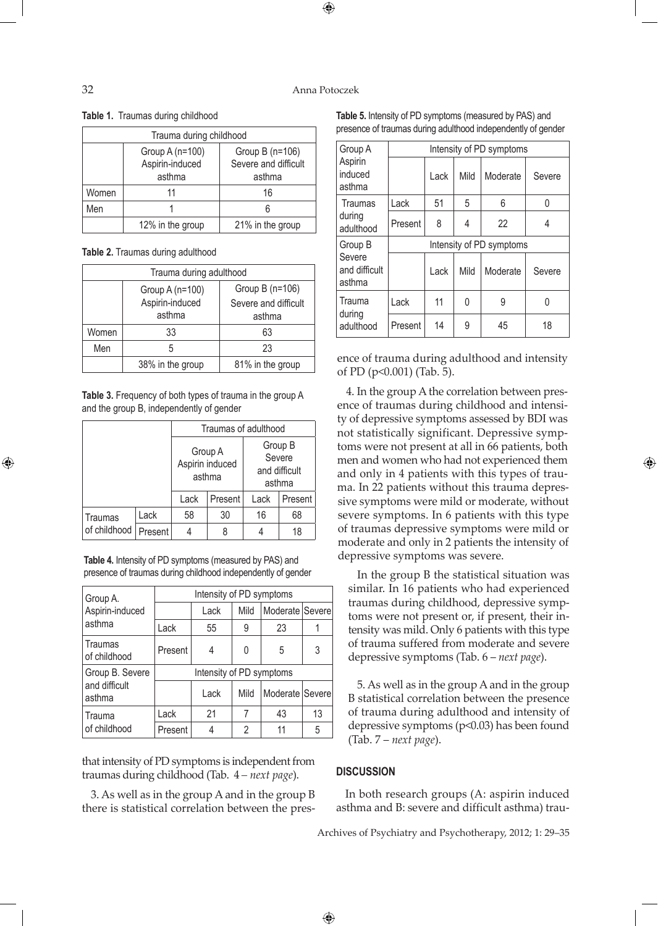#### 32 Anna Potoczek

 $\bigoplus$ 

**Table 1.** Traumas during childhood

| Trauma during childhood |                                                                                                     |                  |  |  |  |
|-------------------------|-----------------------------------------------------------------------------------------------------|------------------|--|--|--|
|                         | Group A (n=100)<br>Group B $(n=106)$<br>Aspirin-induced<br>Severe and difficult<br>asthma<br>asthma |                  |  |  |  |
| Women                   | 11                                                                                                  | 16               |  |  |  |
| Men                     |                                                                                                     |                  |  |  |  |
|                         | 12% in the group                                                                                    | 21% in the group |  |  |  |

**Table 2.** Traumas during adulthood

| Trauma during adulthood |                                              |                                                   |  |  |  |
|-------------------------|----------------------------------------------|---------------------------------------------------|--|--|--|
|                         | Group A (n=100)<br>Aspirin-induced<br>asthma | Group B (n=106)<br>Severe and difficult<br>asthma |  |  |  |
| Women                   | 33                                           | 63                                                |  |  |  |
| Men                     | 5                                            | 23                                                |  |  |  |
|                         | 38% in the group                             | 81% in the group                                  |  |  |  |

**Table 3.** Frequency of both types of trauma in the group A and the group B, independently of gender

|                         |         | Traumas of adulthood                                    |    |                                              |    |  |  |
|-------------------------|---------|---------------------------------------------------------|----|----------------------------------------------|----|--|--|
|                         |         | Group A<br>Aspirin induced<br>asthma<br>Lack<br>Present |    | Group B<br>Severe<br>and difficult<br>asthma |    |  |  |
|                         |         |                                                         |    | Lack<br>Present                              |    |  |  |
| Traumas<br>of childhood | Lack    | 58                                                      | 30 | 16                                           | 68 |  |  |
|                         | Present |                                                         |    |                                              | 18 |  |  |

**Table 4.** Intensity of PD symptoms (measured by PAS) and presence of traumas during childhood independently of gender

| Group A.                | Intensity of PD symptoms |      |      |                 |    |  |  |  |
|-------------------------|--------------------------|------|------|-----------------|----|--|--|--|
| Aspirin-induced         |                          | Lack | Mild | Moderate Severe |    |  |  |  |
| asthma                  | Lack                     | 55   | 9    | 23              |    |  |  |  |
| Traumas<br>of childhood | Present                  |      | 0    | 5               | 3  |  |  |  |
| Group B. Severe         | Intensity of PD symptoms |      |      |                 |    |  |  |  |
| and difficult<br>asthma |                          | Lack | Mild | Moderate Severe |    |  |  |  |
| Trauma                  | Lack                     | 21   |      | 43              | 13 |  |  |  |
| of childhood            | Present                  |      | 2    | 11              | 5  |  |  |  |

that intensity of PD symptoms is independent from traumas during childhood (Tab. 4 *– next page*).

3. As well as in the group A and in the group B there is statistical correlation between the pres-

**Table 5.** Intensity of PD symptoms (measured by PAS) and presence of traumas during adulthood independently of gender

| Group A                           | Intensity of PD symptoms |      |      |          |        |  |
|-----------------------------------|--------------------------|------|------|----------|--------|--|
| Aspirin<br>induced<br>asthma      |                          | Lack | Mild | Moderate | Severe |  |
| <b>Traumas</b>                    | Lack                     | 51   | 5    | 6        | N      |  |
| during<br>adulthood               | Present                  | 8    | 4    | 22       | 4      |  |
| Group B                           | Intensity of PD symptoms |      |      |          |        |  |
| Severe<br>and difficult<br>asthma |                          | Lack | Mild | Moderate | Severe |  |
| Trauma                            | Lack                     | 11   | 0    | 9        |        |  |
| during<br>adulthood               | Present                  | 14   | 9    | 45       | 18     |  |

ence of trauma during adulthood and intensity of PD (p<0.001) (Tab. 5).

4. In the group A the correlation between presence of traumas during childhood and intensity of depressive symptoms assessed by BDI was not statistically significant. Depressive symptoms were not present at all in 66 patients, both men and women who had not experienced them and only in 4 patients with this types of trauma. In 22 patients without this trauma depressive symptoms were mild or moderate, without severe symptoms. In 6 patients with this type of traumas depressive symptoms were mild or moderate and only in 2 patients the intensity of depressive symptoms was severe.

In the group B the statistical situation was similar. In 16 patients who had experienced traumas during childhood, depressive symptoms were not present or, if present, their intensity was mild. Only 6 patients with this type of trauma suffered from moderate and severe depressive symptoms (Tab. 6 – *next page*).

5. As well as in the group A and in the group B statistical correlation between the presence of trauma during adulthood and intensity of depressive symptoms (p<0.03) has been found (Tab. 7 – *next page*).

#### **DISCUSSION**

 $\bigoplus$ 

In both research groups (A: aspirin induced asthma and B: severe and difficult asthma) trau-

Archives of Psychiatry and Psychotherapy, 2012; 1: 29–35

⊕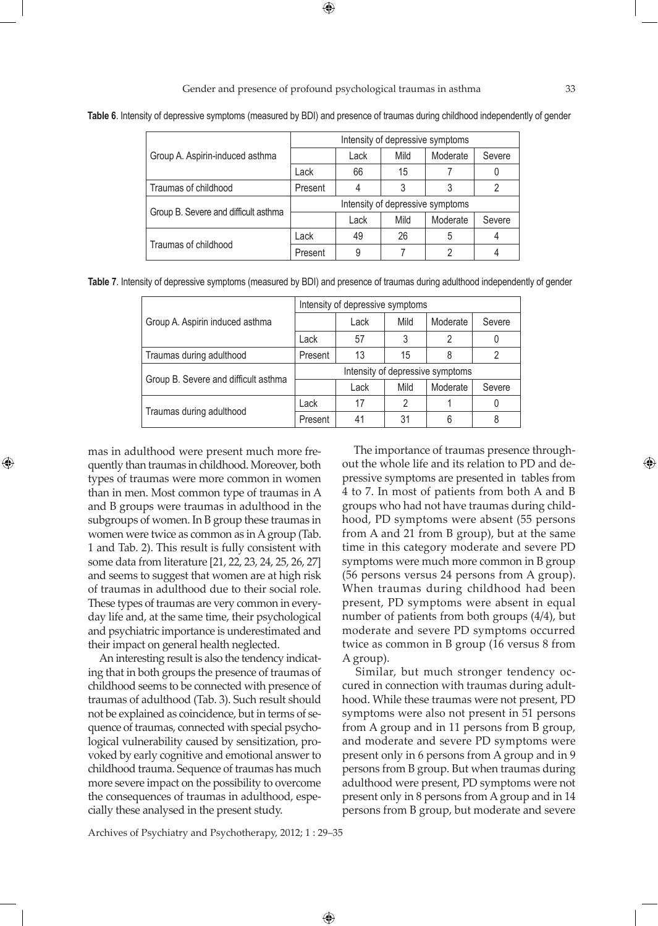Gender and presence of profound psychological traumas in asthma 33

 $\bigoplus$ 

**Table 6**. Intensity of depressive symptoms (measured by BDI) and presence of traumas during childhood independently of gender

|                                      | Intensity of depressive symptoms |      |      |          |                |  |
|--------------------------------------|----------------------------------|------|------|----------|----------------|--|
| Group A. Aspirin-induced asthma      |                                  | Lack | Mild | Moderate | Severe         |  |
|                                      | Lack                             | 66   | 15   |          |                |  |
| Traumas of childhood                 | Present                          | 4    | 3    | 3        | $\mathfrak{p}$ |  |
|                                      | Intensity of depressive symptoms |      |      |          |                |  |
| Group B. Severe and difficult asthma |                                  | Lack | Mild | Moderate | Severe         |  |
| Traumas of childhood                 | Lack                             | 49   | 26   | 5        |                |  |
|                                      | Present                          | 9    |      | っ        | 4              |  |

**Table 7**. Intensity of depressive symptoms (measured by BDI) and presence of traumas during adulthood independently of gender

|                                      | Intensity of depressive symptoms |      |      |          |        |  |
|--------------------------------------|----------------------------------|------|------|----------|--------|--|
| Group A. Aspirin induced asthma      |                                  | Lack | Mild | Moderate | Severe |  |
|                                      | Lack                             | 57   |      | 2        |        |  |
| Traumas during adulthood             | Present                          | 13   | 15   | 8        | 2      |  |
| Group B. Severe and difficult asthma | Intensity of depressive symptoms |      |      |          |        |  |
|                                      |                                  | Lack | Mild | Moderate | Severe |  |
|                                      | Lack                             | 17   | 2    |          |        |  |
| Traumas during adulthood             | Present                          | 41   | 31   | 6        | 8      |  |

 $\bigoplus$ 

mas in adulthood were present much more frequently than traumas in childhood. Moreover, both types of traumas were more common in women than in men. Most common type of traumas in A and B groups were traumas in adulthood in the subgroups of women. In B group these traumas in women were twice as common as in A group (Tab. 1 and Tab. 2). This result is fully consistent with some data from literature [21, 22, 23, 24, 25, 26, 27] and seems to suggest that women are at high risk of traumas in adulthood due to their social role. These types of traumas are very common in everyday life and, at the same time, their psychological and psychiatric importance is underestimated and their impact on general health neglected.

⊕

 An interesting result is also the tendency indicating that in both groups the presence of traumas of childhood seems to be connected with presence of traumas of adulthood (Tab. 3). Such result should not be explained as coincidence, but in terms of sequence of traumas, connected with special psychological vulnerability caused by sensitization, provoked by early cognitive and emotional answer to childhood trauma. Sequence of traumas has much more severe impact on the possibility to overcome the consequences of traumas in adulthood, especially these analysed in the present study.

 The importance of traumas presence throughout the whole life and its relation to PD and depressive symptoms are presented in tables from 4 to 7. In most of patients from both A and B groups who had not have traumas during childhood, PD symptoms were absent (55 persons from A and 21 from B group), but at the same time in this category moderate and severe PD symptoms were much more common in B group (56 persons versus 24 persons from A group). When traumas during childhood had been present, PD symptoms were absent in equal number of patients from both groups (4/4), but moderate and severe PD symptoms occurred twice as common in B group (16 versus 8 from A group).

 Similar, but much stronger tendency occured in connection with traumas during adulthood. While these traumas were not present, PD symptoms were also not present in 51 persons from A group and in 11 persons from B group, and moderate and severe PD symptoms were present only in 6 persons from A group and in 9 persons from B group. But when traumas during adulthood were present, PD symptoms were not present only in 8 persons from A group and in 14 persons from B group, but moderate and severe

Archives of Psychiatry and Psychotherapy, 2012; 1 : 29–35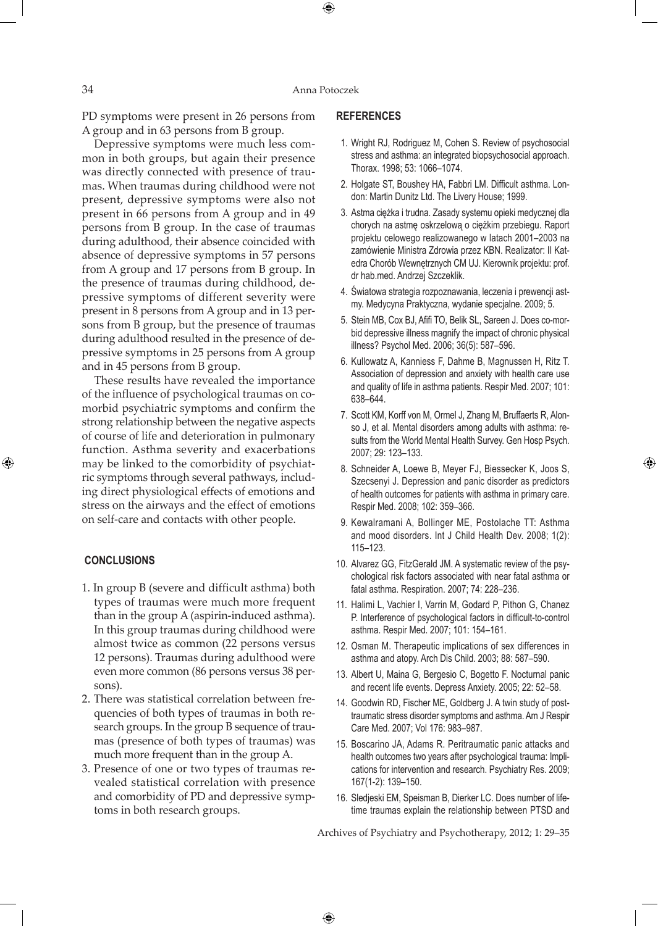$\bigoplus$ 

PD symptoms were present in 26 persons from A group and in 63 persons from B group.

 Depressive symptoms were much less common in both groups, but again their presence was directly connected with presence of traumas. When traumas during childhood were not present, depressive symptoms were also not present in 66 persons from A group and in 49 persons from B group. In the case of traumas during adulthood, their absence coincided with absence of depressive symptoms in 57 persons from A group and 17 persons from B group. In the presence of traumas during childhood, depressive symptoms of different severity were present in 8 persons from A group and in 13 persons from B group, but the presence of traumas during adulthood resulted in the presence of depressive symptoms in 25 persons from A group and in 45 persons from B group.

 These results have revealed the importance of the influence of psychological traumas on comorbid psychiatric symptoms and confirm the strong relationship between the negative aspects of course of life and deterioration in pulmonary function. Asthma severity and exacerbations may be linked to the comorbidity of psychiatric symptoms through several pathways, including direct physiological effects of emotions and stress on the airways and the effect of emotions on self-care and contacts with other people.

## **CONCLUSIONS**

⊕

- 1. In group B (severe and difficult asthma) both types of traumas were much more frequent than in the group A (aspirin-induced asthma). In this group traumas during childhood were almost twice as common (22 persons versus 12 persons). Traumas during adulthood were even more common (86 persons versus 38 persons).
- 2. There was statistical correlation between frequencies of both types of traumas in both research groups. In the group B sequence of traumas (presence of both types of traumas) was much more frequent than in the group A.
- 3. Presence of one or two types of traumas revealed statistical correlation with presence and comorbidity of PD and depressive symptoms in both research groups.

#### **REFERENCES**

- 1. Wright RJ, Rodriguez M, Cohen S. Review of psychosocial stress and asthma: an integrated biopsychosocial approach. Thorax. 1998; 53: 1066–1074.
- 2. Holgate ST, Boushey HA, Fabbri LM. Difficult asthma. London: Martin Dunitz Ltd. The Livery House; 1999.
- 3. Astma ciężka i trudna. Zasady systemu opieki medycznej dla chorych na astmę oskrzelową o ciężkim przebiegu. Raport projektu celowego realizowanego w latach 2001–2003 na zamówienie Ministra Zdrowia przez KBN. Realizator: II Katedra Chorób Wewnętrznych CM UJ. Kierownik projektu: prof. dr hab.med. Andrzej Szczeklik.
- 4. Światowa strategia rozpoznawania, leczenia i prewencji astmy. Medycyna Praktyczna, wydanie specjalne. 2009; 5.
- 5. Stein MB, Cox BJ, Afifi TO, Belik SL, Sareen J. Does co-morbid depressive illness magnify the impact of chronic physical illness? Psychol Med. 2006; 36(5): 587–596.
- 6. Kullowatz A, Kanniess F, Dahme B, Magnussen H, Ritz T. Association of depression and anxiety with health care use and quality of life in asthma patients. Respir Med. 2007; 101: 638–644.
- 7. Scott KM, Korff von M, Ormel J, Zhang M, Bruffaerts R, Alonso J, et al. Mental disorders among adults with asthma: results from the World Mental Health Survey. Gen Hosp Psych. 2007; 29: 123–133.
- 8. Schneider A, Loewe B, Meyer FJ, Biessecker K, Joos S, Szecsenyi J. Depression and panic disorder as predictors of health outcomes for patients with asthma in primary care. Respir Med. 2008; 102: 359–366.

⊕

- 9. Kewalramani A, Bollinger ME, Postolache TT: Asthma and mood disorders. Int J Child Health Dev. 2008; 1(2): 115–123.
- 10. Alvarez GG, FitzGerald JM. A systematic review of the psychological risk factors associated with near fatal asthma or fatal asthma. Respiration. 2007; 74: 228–236.
- 11. Halimi L, Vachier I, Varrin M, Godard P, Pithon G, Chanez P. Interference of psychological factors in difficult-to-control asthma. Respir Med. 2007; 101: 154–161.
- 12. Osman M. Therapeutic implications of sex differences in asthma and atopy. Arch Dis Child. 2003; 88: 587–590.
- 13. Albert U, Maina G, Bergesio C, Bogetto F. Nocturnal panic and recent life events. Depress Anxiety. 2005; 22: 52–58.
- 14. Goodwin RD, Fischer ME, Goldberg J. A twin study of posttraumatic stress disorder symptoms and asthma. Am J Respir Care Med. 2007; Vol 176: 983–987.
- 15. Boscarino JA, Adams R. Peritraumatic panic attacks and health outcomes two years after psychological trauma: Implications for intervention and research. Psychiatry Res. 2009; 167(1-2): 139–150.
- 16. Sledjeski EM, Speisman B, Dierker LC. Does number of lifetime traumas explain the relationship between PTSD and

Archives of Psychiatry and Psychotherapy, 2012; 1: 29–35